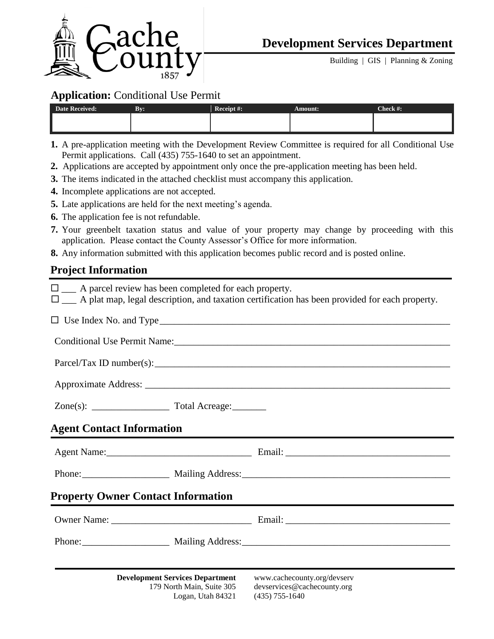

Building | GIS | Planning & Zoning

### **Application:** Conditional Use Permit

| <b>Date Received:</b> | By: | Receipt #: | Amount: | Check #: |
|-----------------------|-----|------------|---------|----------|
|                       |     |            |         |          |
|                       |     |            |         |          |

- **1.** A pre-application meeting with the Development Review Committee is required for all Conditional Use Permit applications. Call (435) 755-1640 to set an appointment.
- **2.** Applications are accepted by appointment only once the pre-application meeting has been held.
- **3.** The items indicated in the attached checklist must accompany this application.
- **4.** Incomplete applications are not accepted.
- **5.** Late applications are held for the next meeting's agenda.
- **6.** The application fee is not refundable.
- **7.** Your greenbelt taxation status and value of your property may change by proceeding with this application. Please contact the County Assessor's Office for more information.
- **8.** Any information submitted with this application becomes public record and is posted online.

## **Project Information**

| $\square$ A parcel review has been completed for each property.                          | $\square$ A plat map, legal description, and taxation certification has been provided for each property. |  |  |  |  |
|------------------------------------------------------------------------------------------|----------------------------------------------------------------------------------------------------------|--|--|--|--|
|                                                                                          |                                                                                                          |  |  |  |  |
|                                                                                          |                                                                                                          |  |  |  |  |
|                                                                                          |                                                                                                          |  |  |  |  |
|                                                                                          |                                                                                                          |  |  |  |  |
|                                                                                          |                                                                                                          |  |  |  |  |
| <b>Agent Contact Information</b>                                                         |                                                                                                          |  |  |  |  |
|                                                                                          |                                                                                                          |  |  |  |  |
| Phone: Mailing Address: Mailing Address:                                                 |                                                                                                          |  |  |  |  |
| <b>Property Owner Contact Information</b>                                                |                                                                                                          |  |  |  |  |
|                                                                                          |                                                                                                          |  |  |  |  |
|                                                                                          | Phone: Mailing Address: Mailing Address:                                                                 |  |  |  |  |
| <b>Development Services Department</b><br>179 North Main, Suite 305<br>Logan, Utah 84321 | www.cachecounty.org/devserv<br>devservices@cachecounty.org<br>$(435)$ 755-1640                           |  |  |  |  |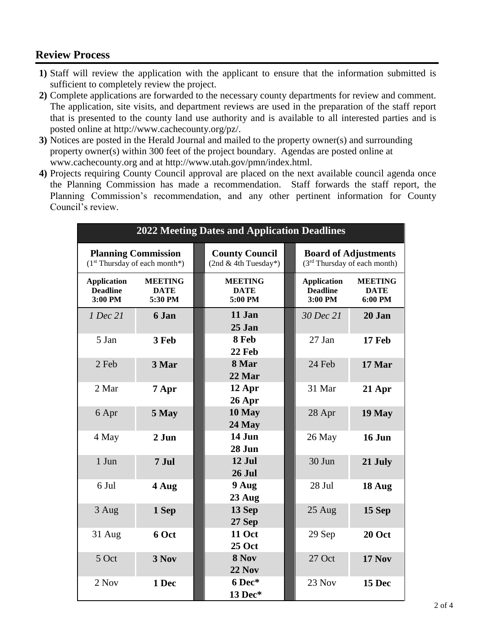# **Review Process**

- **1)** Staff will review the application with the applicant to ensure that the information submitted is sufficient to completely review the project.
- **2)** Complete applications are forwarded to the necessary county departments for review and comment. The application, site visits, and department reviews are used in the preparation of the staff report that is presented to the county land use authority and is available to all interested parties and is posted online at http://www.cachecounty.org/pz/.
- **3)** Notices are posted in the Herald Journal and mailed to the property owner(s) and surrounding property owner(s) within 300 feet of the project boundary. Agendas are posted online at www.cachecounty.org and at http://www.utah.gov/pmn/index.html.
- **4)** Projects requiring County Council approval are placed on the next available council agenda once the Planning Commission has made a recommendation. Staff forwards the staff report, the Planning Commission's recommendation, and any other pertinent information for County Council's review.

| <b>2022 Meeting Dates and Application Deadlines</b>           |                                          |  |                                                 |  |                                                                         |                                          |  |  |
|---------------------------------------------------------------|------------------------------------------|--|-------------------------------------------------|--|-------------------------------------------------------------------------|------------------------------------------|--|--|
| <b>Planning Commission</b><br>$(1st Thursday of each month*)$ |                                          |  | <b>County Council</b><br>$(2nd & 4th Tuesday*)$ |  | <b>Board of Adjustments</b><br>(3 <sup>rd</sup> Thursday of each month) |                                          |  |  |
| <b>Application</b><br><b>Deadline</b><br>3:00 PM              | <b>MEETING</b><br><b>DATE</b><br>5:30 PM |  | <b>MEETING</b><br><b>DATE</b><br>5:00 PM        |  | <b>Application</b><br><b>Deadline</b><br>3:00 PM                        | <b>MEETING</b><br><b>DATE</b><br>6:00 PM |  |  |
| 1 Dec 21                                                      | 6 Jan                                    |  | 11 Jan<br>25 Jan                                |  | 30 Dec 21                                                               | 20 Jan                                   |  |  |
| 5 Jan                                                         | 3 Feb                                    |  | 8 Feb<br>22 Feb                                 |  | 27 Jan                                                                  | 17 Feb                                   |  |  |
| 2 Feb                                                         | 3 Mar                                    |  | 8 Mar<br>22 Mar                                 |  | 24 Feb                                                                  | 17 Mar                                   |  |  |
| 2 Mar                                                         | 7 Apr                                    |  | 12 Apr<br>26 Apr                                |  | 31 Mar                                                                  | 21 Apr                                   |  |  |
| 6 Apr                                                         | 5 May                                    |  | 10 May<br>24 May                                |  | 28 Apr                                                                  | 19 May                                   |  |  |
| 4 May                                                         | 2 Jun                                    |  | 14 Jun<br>28 Jun                                |  | 26 May                                                                  | 16 Jun                                   |  |  |
| 1 Jun                                                         | 7 Jul                                    |  | 12 Jul<br><b>26 Jul</b>                         |  | 30 Jun                                                                  | 21 July                                  |  |  |
| 6 Jul                                                         | 4 Aug                                    |  | 9 Aug<br>23 Aug                                 |  | 28 Jul                                                                  | 18 Aug                                   |  |  |
| 3 Aug                                                         | 1 Sep                                    |  | 13 Sep<br>27 Sep                                |  | 25 Aug                                                                  | 15 Sep                                   |  |  |
| $31$ Aug                                                      | 6 Oct                                    |  | <b>11 Oct</b><br><b>25 Oct</b>                  |  | 29 Sep                                                                  | 20 Oct                                   |  |  |
| 5 Oct                                                         | 3 Nov                                    |  | 8 Nov<br><b>22 Nov</b>                          |  | 27 Oct                                                                  | <b>17 Nov</b>                            |  |  |
| 2 Nov                                                         | 1 Dec                                    |  | 6 Dec*<br>13 Dec*                               |  | 23 Nov                                                                  | 15 Dec                                   |  |  |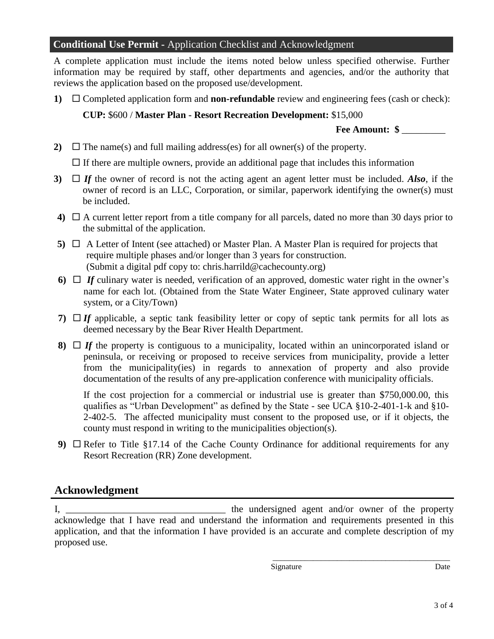### **Conditional Use Permit -** Application Checklist and Acknowledgment

A complete application must include the items noted below unless specified otherwise. Further information may be required by staff, other departments and agencies, and/or the authority that reviews the application based on the proposed use/development.

**1)** □ Completed application form and **non-refundable** review and engineering fees (cash or check): **CUP:** \$600 / **Master Plan - Resort Recreation Development:** \$15,000

### **Fee Amount: \$** \_\_\_\_\_\_\_\_\_

**2)**  $\Box$  The name(s) and full mailing address(es) for all owner(s) of the property.

 $\Box$  If there are multiple owners, provide an additional page that includes this information

- **3)** *If* the owner of record is not the acting agent an agent letter must be included. *Also*, if the owner of record is an LLC, Corporation, or similar, paperwork identifying the owner(s) must be included.
- **4)**  $\Box$  A current letter report from a title company for all parcels, dated no more than 30 days prior to the submittal of the application.
- **5)**  $\Box$  A Letter of Intent (see attached) or Master Plan. A Master Plan is required for projects that require multiple phases and/or longer than 3 years for construction. (Submit a digital pdf copy to: chris.harrild@cachecounty.org)
- **6)**  $\Box$  *If* culinary water is needed, verification of an approved, domestic water right in the owner's name for each lot. (Obtained from the State Water Engineer, State approved culinary water system, or a City/Town)
- **7)**  $\Box$  *If* applicable, a septic tank feasibility letter or copy of septic tank permits for all lots as deemed necessary by the Bear River Health Department.
- **8)**  $\Box$  If the property is contiguous to a municipality, located within an unincorporated island or peninsula, or receiving or proposed to receive services from municipality, provide a letter from the municipality(ies) in regards to annexation of property and also provide documentation of the results of any pre-application conference with municipality officials.

If the cost projection for a commercial or industrial use is greater than \$750,000.00, this qualifies as "Urban Development" as defined by the State - see UCA §10-2-401-1-k and §10- 2-402-5. The affected municipality must consent to the proposed use, or if it objects, the county must respond in writing to the municipalities objection(s).

**9)**  $\Box$  Refer to Title §17.14 of the Cache County Ordinance for additional requirements for any Resort Recreation (RR) Zone development.

### **Acknowledgment**

I, \_\_\_\_\_\_\_\_\_\_\_\_\_\_\_\_\_\_\_\_\_\_\_\_\_\_\_\_\_\_\_\_\_ the undersigned agent and/or owner of the property acknowledge that I have read and understand the information and requirements presented in this application, and that the information I have provided is an accurate and complete description of my proposed use.

\_\_\_\_\_\_\_\_\_\_\_\_\_\_\_\_\_\_\_\_\_\_\_\_\_\_\_\_\_\_\_\_\_\_\_\_\_\_\_\_\_\_\_\_